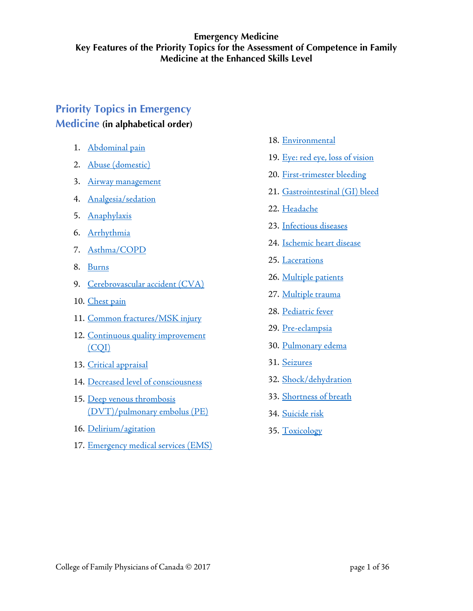# **Priority Topics in Emergency Medicine (in alphabetical order)**

- 1. [Abdominal pain](#page-1-0)
- 
- 
- 
- 5. [Anaphylaxis](#page-5-0)
- 6. [Arrhythmia](#page-6-0)
- 7. [Asthma/COPD](#page-7-0)
- 8. [Burns](#page-8-0)
- 9. [Cerebrovascular accident \(CVA\)](#page-9-0)
- 10. [Chest pain](#page-10-0)
- 11. [Common fractures/MSK injury](#page-11-0)
- 12. Continuous quality improvement 29. [Pre-eclampsia](#page-29-0) [\(CQI\)](#page-12-0) 30. [Pulmonary edema](#page-30-0)
- 13. [Critical appraisal](#page-13-0) 31. [Seizures](#page-31-0)
- 14. [Decreased level of consciousness](#page-14-0) 32. [Shock/dehydration](#page-32-0)
- 15. [Deep venous thrombosis](#page-15-0) 33. [Shortness of breath](#page-33-0) [\(DVT\)/pulmonary embolus](#page-15-0) (PE) 34. [Suicide risk](#page-34-0)
- 16. [Delirium/agitation](#page-16-0) 35. Toxicology
- 17. [Emergency medical services \(EMS\)](#page-17-0)
- 18. [Environmental](#page-18-0)
- 2. [Abuse \(domestic\)](#page-2-0) 2. Abuse (domestic)
- 3. Airway management 20. [First-trimester bleeding](#page-20-0)
- 21. [Gastrointestinal \(GI\) bleed](#page-21-0) 4. Analgesia/sedation
	- 22. [Headache](#page-22-0)
	- 23. [Infectious diseases](#page-23-0)
	- 24. [Ischemic heart disease](#page-24-0)
	- 25. [Lacerations](#page-25-0)
	- 26. [Multiple patients](#page-26-0)
	- 27. [Multiple trauma](#page-27-0)
	- 28. [Pediatric fever](#page-28-0)
	-
	-
	-
	-
	-
	-
	-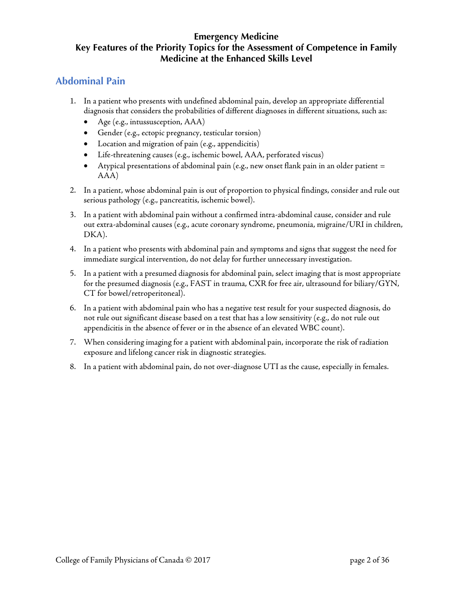## <span id="page-1-0"></span>**Abdominal Pain**

- 1. In a patient who presents with undefined abdominal pain, develop an appropriate differential diagnosis that considers the probabilities of different diagnoses in different situations, such as:
	- Age (e.g., intussusception, AAA)
	- Gender (e.g., ectopic pregnancy, testicular torsion)
	- Location and migration of pain (e.g., appendicitis)
	- Life-threatening causes (e.g., ischemic bowel, AAA, perforated viscus)
	- Atypical presentations of abdominal pain (e.g., new onset flank pain in an older patient  $=$ AAA)
- 2. In a patient, whose abdominal pain is out of proportion to physical findings, consider and rule out serious pathology (e.g., pancreatitis, ischemic bowel).
- 3. In a patient with abdominal pain without a confirmed intra-abdominal cause, consider and rule out extra-abdominal causes (e.g., acute coronary syndrome, pneumonia, migraine/URI in children, DKA).
- 4. In a patient who presents with abdominal pain and symptoms and signs that suggest the need for immediate surgical intervention, do not delay for further unnecessary investigation.
- 5. In a patient with a presumed diagnosis for abdominal pain, select imaging that is most appropriate for the presumed diagnosis (e.g., FAST in trauma, CXR for free air, ultrasound for biliary/GYN, CT for bowel/retroperitoneal).
- 6. In a patient with abdominal pain who has a negative test result for your suspected diagnosis, do not rule out significant disease based on a test that has a low sensitivity (e.g., do not rule out appendicitis in the absence of fever or in the absence of an elevated WBC count).
- 7. When considering imaging for a patient with abdominal pain, incorporate the risk of radiation exposure and lifelong cancer risk in diagnostic strategies.
- 8. In a patient with abdominal pain, do not over-diagnose UTI as the cause, especially in females.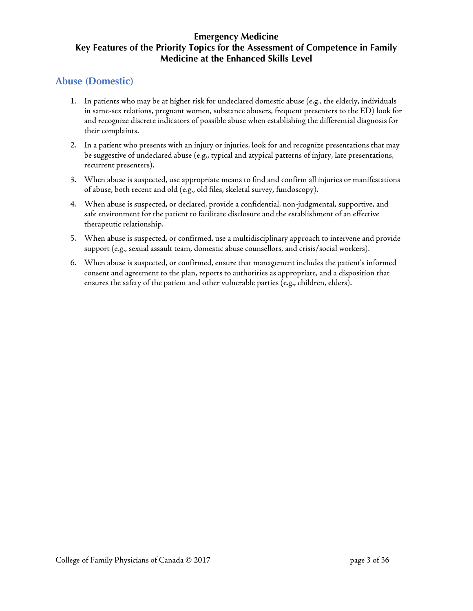### <span id="page-2-0"></span>**Abuse (Domestic)**

- 1. In patients who may be at higher risk for undeclared domestic abuse (e.g., the elderly, individuals in same-sex relations, pregnant women, substance abusers, frequent presenters to the ED) look for and recognize discrete indicators of possible abuse when establishing the differential diagnosis for their complaints.
- 2. In a patient who presents with an injury or injuries, look for and recognize presentations that may be suggestive of undeclared abuse (e.g., typical and atypical patterns of injury, late presentations, recurrent presenters).
- 3. When abuse is suspected, use appropriate means to find and confirm all injuries or manifestations of abuse, both recent and old (e.g., old files, skeletal survey, fundoscopy).
- 4. When abuse is suspected, or declared, provide a confidential, non-judgmental, supportive, and safe environment for the patient to facilitate disclosure and the establishment of an effective therapeutic relationship.
- 5. When abuse is suspected, or confirmed, use a multidisciplinary approach to intervene and provide support (e.g., sexual assault team, domestic abuse counsellors, and crisis/social workers).
- 6. When abuse is suspected, or confirmed, ensure that management includes the patient's informed consent and agreement to the plan, reports to authorities as appropriate, and a disposition that ensures the safety of the patient and other vulnerable parties (e.g., children, elders).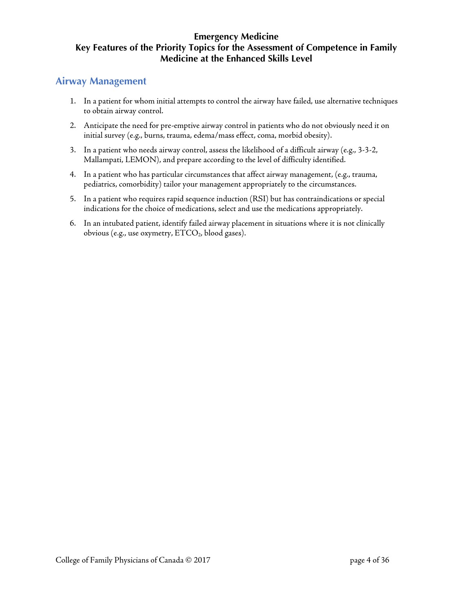### <span id="page-3-0"></span>**Airway Management**

- 1. In a patient for whom initial attempts to control the airway have failed, use alternative techniques to obtain airway control.
- 2. Anticipate the need for pre-emptive airway control in patients who do not obviously need it on initial survey (e.g., burns, trauma, edema/mass effect, coma, morbid obesity).
- 3. In a patient who needs airway control, assess the likelihood of a difficult airway (e.g., 3-3-2, Mallampati, LEMON), and prepare according to the level of difficulty identified.
- 4. In a patient who has particular circumstances that affect airway management, (e.g., trauma, pediatrics, comorbidity) tailor your management appropriately to the circumstances.
- 5. In a patient who requires rapid sequence induction (RSI) but has contraindications or special indications for the choice of medications, select and use the medications appropriately.
- 6. In an intubated patient, identify failed airway placement in situations where it is not clinically obvious (e.g., use oxymetry, ETCO<sub>2</sub>, blood gases).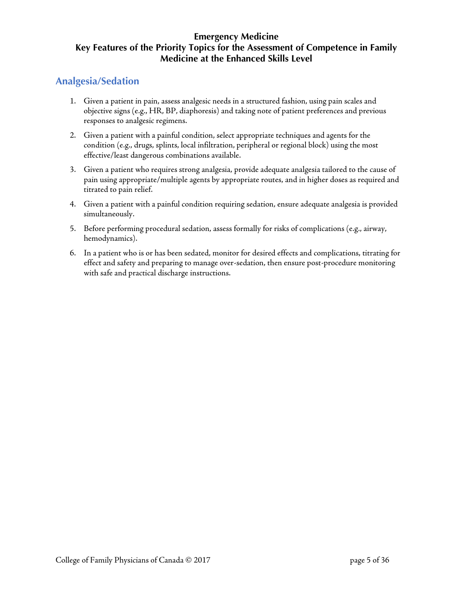## <span id="page-4-0"></span>**Analgesia/Sedation**

- 1. Given a patient in pain, assess analgesic needs in a structured fashion, using pain scales and objective signs (e.g., HR, BP, diaphoresis) and taking note of patient preferences and previous responses to analgesic regimens.
- 2. Given a patient with a painful condition, select appropriate techniques and agents for the condition (e.g., drugs, splints, local infiltration, peripheral or regional block) using the most effective/least dangerous combinations available.
- 3. Given a patient who requires strong analgesia, provide adequate analgesia tailored to the cause of pain using appropriate/multiple agents by appropriate routes, and in higher doses as required and titrated to pain relief.
- 4. Given a patient with a painful condition requiring sedation, ensure adequate analgesia is provided simultaneously.
- 5. Before performing procedural sedation, assess formally for risks of complications (e.g., airway, hemodynamics).
- 6. In a patient who is or has been sedated, monitor for desired effects and complications, titrating for effect and safety and preparing to manage over-sedation, then ensure post-procedure monitoring with safe and practical discharge instructions.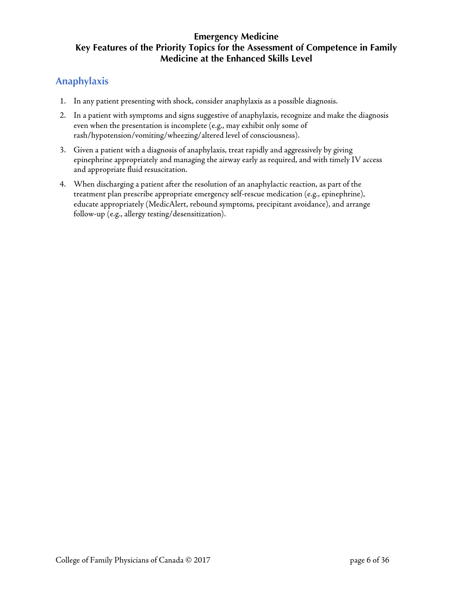# <span id="page-5-0"></span>**Anaphylaxis**

- 1. In any patient presenting with shock, consider anaphylaxis as a possible diagnosis.
- 2. In a patient with symptoms and signs suggestive of anaphylaxis, recognize and make the diagnosis even when the presentation is incomplete (e.g., may exhibit only some of rash/hypotension/vomiting/wheezing/altered level of consciousness).
- 3. Given a patient with a diagnosis of anaphylaxis, treat rapidly and aggressively by giving epinephrine appropriately and managing the airway early as required, and with timely IV access and appropriate fluid resuscitation.
- 4. When discharging a patient after the resolution of an anaphylactic reaction, as part of the treatment plan prescribe appropriate emergency self-rescue medication (e.g., epinephrine), educate appropriately (MedicAlert, rebound symptoms, precipitant avoidance), and arrange follow-up (e.g., allergy testing/desensitization).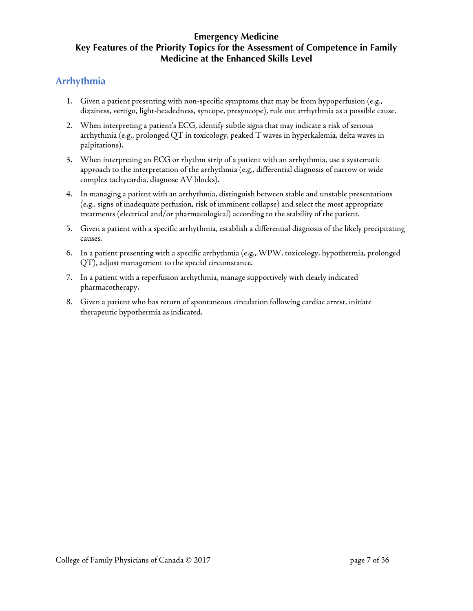# <span id="page-6-0"></span>**Arrhythmia**

- 1. Given a patient presenting with non-specific symptoms that may be from hypoperfusion (e.g., dizziness, vertigo, light-headedness, syncope, presyncope), rule out arrhythmia as a possible cause.
- 2. When interpreting a patient's ECG, identify subtle signs that may indicate a risk of serious arrhythmia (e.g., prolonged QT in toxicology, peaked T waves in hyperkalemia, delta waves in palpitations).
- 3. When interpreting an ECG or rhythm strip of a patient with an arrhythmia, use a systematic approach to the interpretation of the arrhythmia (e.g., differential diagnosis of narrow or wide complex tachycardia, diagnose AV blocks).
- 4. In managing a patient with an arrhythmia, distinguish between stable and unstable presentations (e.g., signs of inadequate perfusion, risk of imminent collapse) and select the most appropriate treatments (electrical and/or pharmacological) according to the stability of the patient.
- 5. Given a patient with a specific arrhythmia, establish a differential diagnosis of the likely precipitating causes.
- 6. In a patient presenting with a specific arrhythmia (e.g., WPW, toxicology, hypothermia, prolonged QT), adjust management to the special circumstance.
- 7. In a patient with a reperfusion arrhythmia, manage supportively with clearly indicated pharmacotherapy.
- 8. Given a patient who has return of spontaneous circulation following cardiac arrest, initiate therapeutic hypothermia as indicated.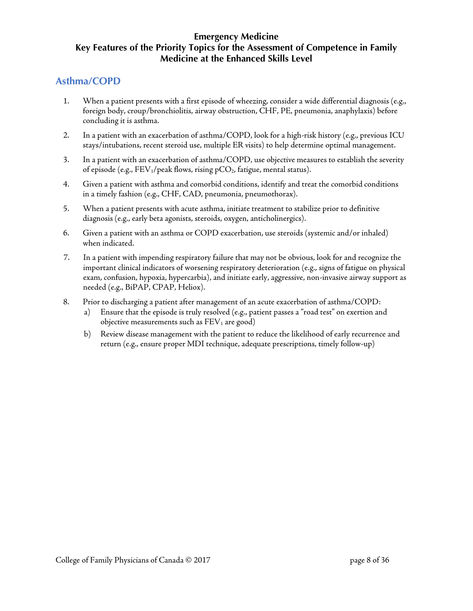### <span id="page-7-0"></span>**Asthma/COPD**

- 1. When a patient presents with a first episode of wheezing, consider a wide differential diagnosis (e.g., foreign body, croup/bronchiolitis, airway obstruction, CHF, PE, pneumonia, anaphylaxis) before concluding it is asthma.
- 2. In a patient with an exacerbation of asthma/COPD, look for a high-risk history (e.g., previous ICU stays/intubations, recent steroid use, multiple ER visits) to help determine optimal management.
- 3. In a patient with an exacerbation of asthma/COPD, use objective measures to establish the severity of episode (e.g.,  $FEV_1/peak$  flows, rising pCO<sub>2</sub>, fatigue, mental status).
- 4. Given a patient with asthma and comorbid conditions, identify and treat the comorbid conditions in a timely fashion (e.g., CHF, CAD, pneumonia, pneumothorax).
- 5. When a patient presents with acute asthma, initiate treatment to stabilize prior to definitive diagnosis (e.g., early beta agonists, steroids, oxygen, anticholinergics).
- 6. Given a patient with an asthma or COPD exacerbation, use steroids (systemic and/or inhaled) when indicated.
- 7. In a patient with impending respiratory failure that may not be obvious, look for and recognize the important clinical indicators of worsening respiratory deterioration (e.g., signs of fatigue on physical exam, confusion, hypoxia, hypercarbia), and initiate early, aggressive, non-invasive airway support as needed (e.g., BiPAP, CPAP, Heliox).
- 8. Prior to discharging a patient after management of an acute exacerbation of asthma/COPD:
	- a) Ensure that the episode is truly resolved (e.g., patient passes a "road test" on exertion and objective measurements such as  $FEV<sub>1</sub>$  are good)
	- b) Review disease management with the patient to reduce the likelihood of early recurrence and return (e.g., ensure proper MDI technique, adequate prescriptions, timely follow-up)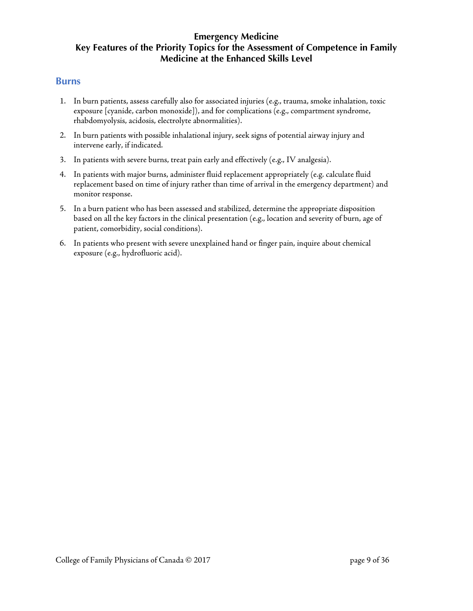#### <span id="page-8-0"></span>**Burns**

- 1. In burn patients, assess carefully also for associated injuries (e.g., trauma, smoke inhalation, toxic exposure [cyanide, carbon monoxide]), and for complications (e.g., compartment syndrome, rhabdomyolysis, acidosis, electrolyte abnormalities).
- 2. In burn patients with possible inhalational injury, seek signs of potential airway injury and intervene early, if indicated.
- 3. In patients with severe burns, treat pain early and effectively (e.g., IV analgesia).
- 4. In patients with major burns, administer fluid replacement appropriately (e.g. calculate fluid replacement based on time of injury rather than time of arrival in the emergency department) and monitor response.
- 5. In a burn patient who has been assessed and stabilized, determine the appropriate disposition based on all the key factors in the clinical presentation (e.g., location and severity of burn, age of patient, comorbidity, social conditions).
- 6. In patients who present with severe unexplained hand or finger pain, inquire about chemical exposure (e.g., hydrofluoric acid).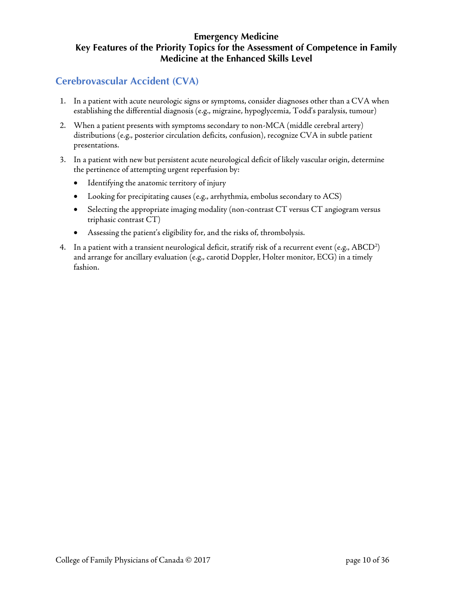# <span id="page-9-0"></span>**Cerebrovascular Accident (CVA)**

- 1. In a patient with acute neurologic signs or symptoms, consider diagnoses other than a CVA when establishing the differential diagnosis (e.g., migraine, hypoglycemia, Todd's paralysis, tumour)
- 2. When a patient presents with symptoms secondary to non-MCA (middle cerebral artery) distributions (e.g., posterior circulation deficits, confusion), recognize CVA in subtle patient presentations.
- 3. In a patient with new but persistent acute neurological deficit of likely vascular origin, determine the pertinence of attempting urgent reperfusion by:
	- Identifying the anatomic territory of injury
	- Looking for precipitating causes (e.g., arrhythmia, embolus secondary to ACS)
	- Selecting the appropriate imaging modality (non-contrast CT versus CT angiogram versus triphasic contrast CT)
	- Assessing the patient's eligibility for, and the risks of, thrombolysis.
- 4. In a patient with a transient neurological deficit, stratify risk of a recurrent event (e.g., ABCD<sup>2</sup>) and arrange for ancillary evaluation (e.g., carotid Doppler, Holter monitor, ECG) in a timely fashion.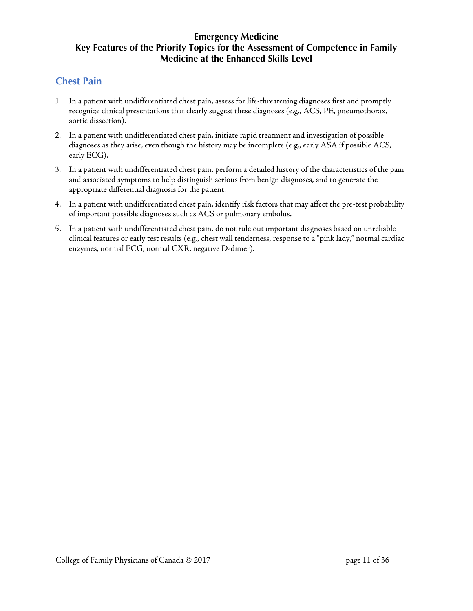## <span id="page-10-0"></span>**Chest Pain**

- 1. In a patient with undifferentiated chest pain, assess for life-threatening diagnoses first and promptly recognize clinical presentations that clearly suggest these diagnoses (e.g., ACS, PE, pneumothorax, aortic dissection).
- 2. In a patient with undifferentiated chest pain, initiate rapid treatment and investigation of possible diagnoses as they arise, even though the history may be incomplete (e.g., early ASA if possible ACS, early ECG).
- 3. In a patient with undifferentiated chest pain, perform a detailed history of the characteristics of the pain and associated symptoms to help distinguish serious from benign diagnoses, and to generate the appropriate differential diagnosis for the patient.
- 4. In a patient with undifferentiated chest pain, identify risk factors that may affect the pre-test probability of important possible diagnoses such as ACS or pulmonary embolus.
- 5. In a patient with undifferentiated chest pain, do not rule out important diagnoses based on unreliable clinical features or early test results (e.g., chest wall tenderness, response to a "pink lady," normal cardiac enzymes, normal ECG, normal CXR, negative D-dimer).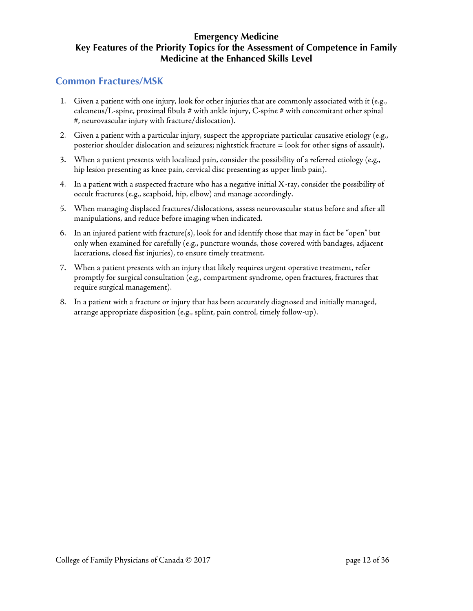### <span id="page-11-0"></span>**Common Fractures/MSK**

- 1. Given a patient with one injury, look for other injuries that are commonly associated with it (e.g.,  $c$ alcaneus/L-spine, proximal fibula  $#$  with ankle injury, C-spine  $#$  with concomitant other spinal #, neurovascular injury with fracture/dislocation).
- 2. Given a patient with a particular injury, suspect the appropriate particular causative etiology (e.g., posterior shoulder dislocation and seizures; nightstick fracture = look for other signs of assault).
- 3. When a patient presents with localized pain, consider the possibility of a referred etiology (e.g., hip lesion presenting as knee pain, cervical disc presenting as upper limb pain).
- 4. In a patient with a suspected fracture who has a negative initial X-ray, consider the possibility of occult fractures (e.g., scaphoid, hip, elbow) and manage accordingly.
- 5. When managing displaced fractures/dislocations, assess neurovascular status before and after all manipulations, and reduce before imaging when indicated.
- 6. In an injured patient with fracture(s), look for and identify those that may in fact be "open" but only when examined for carefully (e.g., puncture wounds, those covered with bandages, adjacent lacerations, closed fist injuries), to ensure timely treatment.
- 7. When a patient presents with an injury that likely requires urgent operative treatment, refer promptly for surgical consultation (e.g., compartment syndrome, open fractures, fractures that require surgical management).
- 8. In a patient with a fracture or injury that has been accurately diagnosed and initially managed, arrange appropriate disposition (e.g., splint, pain control, timely follow-up).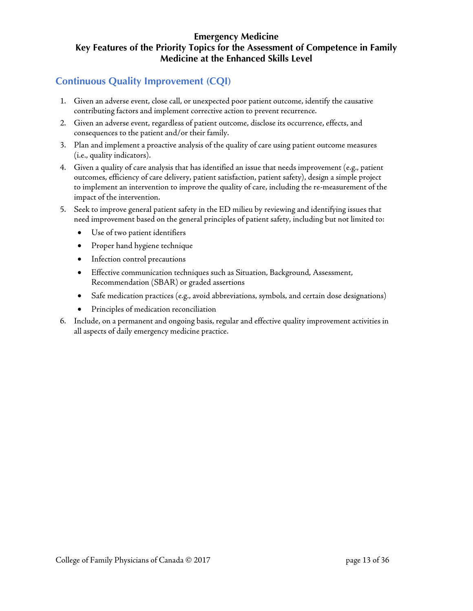# <span id="page-12-0"></span>**Continuous Quality Improvement (CQI)**

- 1. Given an adverse event, close call, or unexpected poor patient outcome, identify the causative contributing factors and implement corrective action to prevent recurrence.
- 2. Given an adverse event, regardless of patient outcome, disclose its occurrence, effects, and consequences to the patient and/or their family.
- 3. Plan and implement a proactive analysis of the quality of care using patient outcome measures (i.e., quality indicators).
- 4. Given a quality of care analysis that has identified an issue that needs improvement (e.g., patient outcomes, efficiency of care delivery, patient satisfaction, patient safety), design a simple project to implement an intervention to improve the quality of care, including the re-measurement of the impact of the intervention.
- 5. Seek to improve general patient safety in the ED milieu by reviewing and identifying issues that need improvement based on the general principles of patient safety, including but not limited to:
	- Use of two patient identifiers
	- Proper hand hygiene technique
	- Infection control precautions
	- Effective communication techniques such as Situation, Background, Assessment, Recommendation (SBAR) or graded assertions
	- Safe medication practices (e.g., avoid abbreviations, symbols, and certain dose designations)
	- Principles of medication reconciliation
- 6. Include, on a permanent and ongoing basis, regular and effective quality improvement activities in all aspects of daily emergency medicine practice.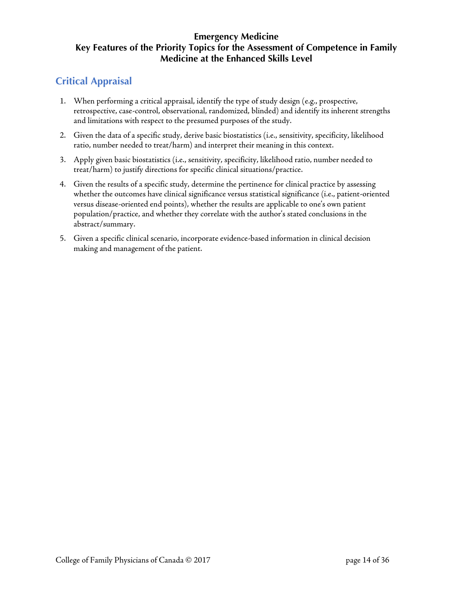# <span id="page-13-0"></span>**Critical Appraisal**

- 1. When performing a critical appraisal, identify the type of study design (e.g., prospective, retrospective, case-control, observational, randomized, blinded) and identify its inherent strengths and limitations with respect to the presumed purposes of the study.
- 2. Given the data of a specific study, derive basic biostatistics (i.e., sensitivity, specificity, likelihood ratio, number needed to treat/harm) and interpret their meaning in this context.
- 3. Apply given basic biostatistics (i.e., sensitivity, specificity, likelihood ratio, number needed to treat/harm) to justify directions for specific clinical situations/practice.
- 4. Given the results of a specific study, determine the pertinence for clinical practice by assessing whether the outcomes have clinical significance versus statistical significance (i.e., patient-oriented versus disease-oriented end points), whether the results are applicable to one's own patient population/practice, and whether they correlate with the author's stated conclusions in the abstract/summary.
- 5. Given a specific clinical scenario, incorporate evidence-based information in clinical decision making and management of the patient.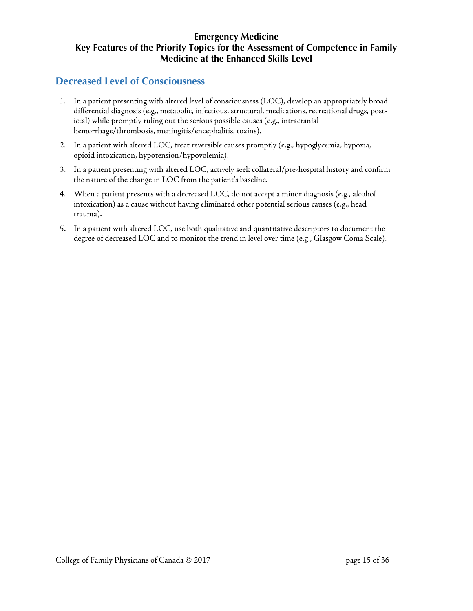## <span id="page-14-0"></span>**Decreased Level of Consciousness**

- 1. In a patient presenting with altered level of consciousness (LOC), develop an appropriately broad differential diagnosis (e.g., metabolic, infectious, structural, medications, recreational drugs, postictal) while promptly ruling out the serious possible causes (e.g., intracranial hemorrhage/thrombosis, meningitis/encephalitis, toxins).
- 2. In a patient with altered LOC, treat reversible causes promptly (e.g., hypoglycemia, hypoxia, opioid intoxication, hypotension/hypovolemia).
- 3. In a patient presenting with altered LOC, actively seek collateral/pre-hospital history and confirm the nature of the change in LOC from the patient's baseline.
- 4. When a patient presents with a decreased LOC, do not accept a minor diagnosis (e.g., alcohol intoxication) as a cause without having eliminated other potential serious causes (e.g., head trauma).
- 5. In a patient with altered LOC, use both qualitative and quantitative descriptors to document the degree of decreased LOC and to monitor the trend in level over time (e.g., Glasgow Coma Scale).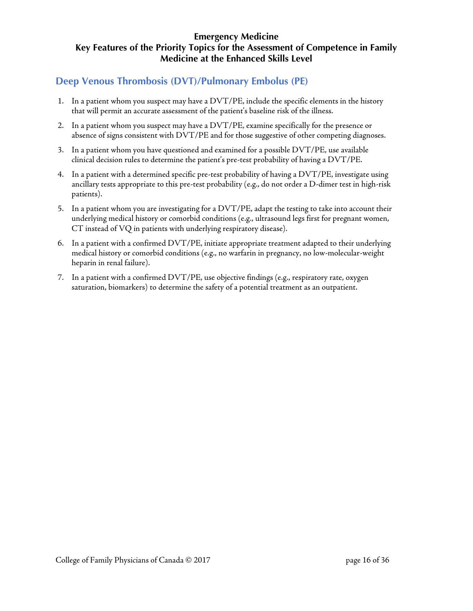## <span id="page-15-0"></span>**Deep Venous Thrombosis (DVT)/Pulmonary Embolus (PE)**

- 1. In a patient whom you suspect may have a DVT/PE, include the specific elements in the history that will permit an accurate assessment of the patient's baseline risk of the illness.
- 2. In a patient whom you suspect may have a DVT/PE, examine specifically for the presence or absence of signs consistent with DVT/PE and for those suggestive of other competing diagnoses.
- 3. In a patient whom you have questioned and examined for a possible DVT/PE, use available clinical decision rules to determine the patient's pre-test probability of having a DVT/PE.
- 4. In a patient with a determined specific pre-test probability of having a DVT/PE, investigate using ancillary tests appropriate to this pre-test probability (e.g., do not order a D-dimer test in high-risk patients).
- 5. In a patient whom you are investigating for a DVT/PE, adapt the testing to take into account their underlying medical history or comorbid conditions (e.g., ultrasound legs first for pregnant women, CT instead of VQ in patients with underlying respiratory disease).
- 6. In a patient with a confirmed DVT/PE, initiate appropriate treatment adapted to their underlying medical history or comorbid conditions (e.g., no warfarin in pregnancy, no low-molecular-weight heparin in renal failure).
- 7. In a patient with a confirmed DVT/PE, use objective findings (e.g., respiratory rate, oxygen saturation, biomarkers) to determine the safety of a potential treatment as an outpatient.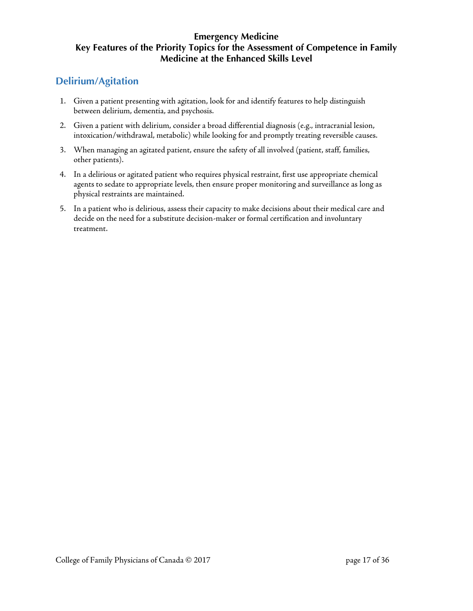# <span id="page-16-0"></span>**Delirium/Agitation**

- 1. Given a patient presenting with agitation, look for and identify features to help distinguish between delirium, dementia, and psychosis.
- 2. Given a patient with delirium, consider a broad differential diagnosis (e.g., intracranial lesion, intoxication/withdrawal, metabolic) while looking for and promptly treating reversible causes.
- 3. When managing an agitated patient, ensure the safety of all involved (patient, staff, families, other patients).
- 4. In a delirious or agitated patient who requires physical restraint, first use appropriate chemical agents to sedate to appropriate levels, then ensure proper monitoring and surveillance as long as physical restraints are maintained.
- 5. In a patient who is delirious, assess their capacity to make decisions about their medical care and decide on the need for a substitute decision-maker or formal certification and involuntary treatment.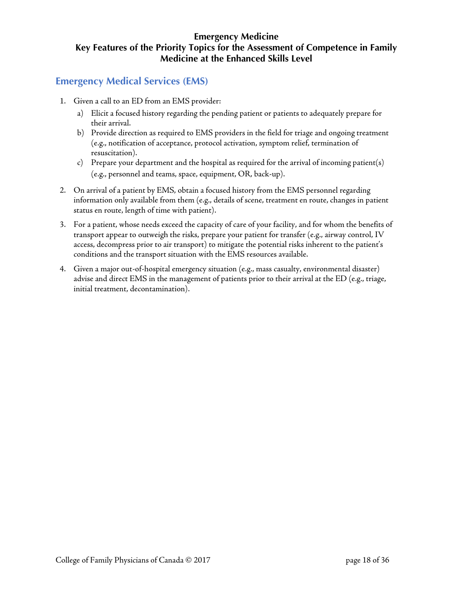## <span id="page-17-0"></span>**Emergency Medical Services (EMS)**

- 1. Given a call to an ED from an EMS provider:
	- a) Elicit a focused history regarding the pending patient or patients to adequately prepare for their arrival.
	- b) Provide direction as required to EMS providers in the field for triage and ongoing treatment (e.g., notification of acceptance, protocol activation, symptom relief, termination of resuscitation).
	- c) Prepare your department and the hospital as required for the arrival of incoming patient(s) (e.g., personnel and teams, space, equipment, OR, back-up).
- 2. On arrival of a patient by EMS, obtain a focused history from the EMS personnel regarding information only available from them (e.g., details of scene, treatment en route, changes in patient status en route, length of time with patient).
- 3. For a patient, whose needs exceed the capacity of care of your facility, and for whom the benefits of transport appear to outweigh the risks, prepare your patient for transfer (e.g., airway control, IV access, decompress prior to air transport) to mitigate the potential risks inherent to the patient's conditions and the transport situation with the EMS resources available.
- 4. Given a major out-of-hospital emergency situation (e.g., mass casualty, environmental disaster) advise and direct EMS in the management of patients prior to their arrival at the ED (e.g., triage, initial treatment, decontamination).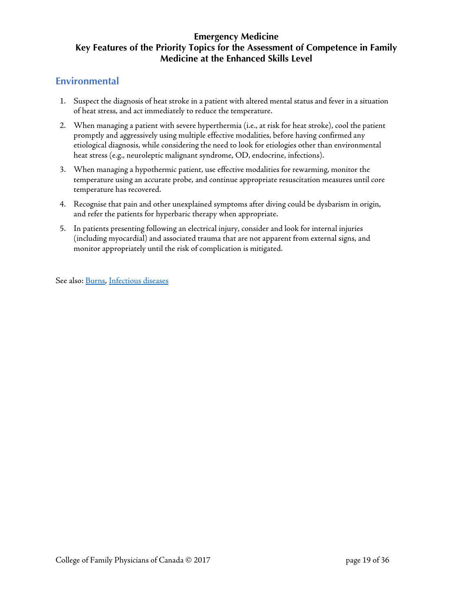### <span id="page-18-0"></span>**Environmental**

- 1. Suspect the diagnosis of heat stroke in a patient with altered mental status and fever in a situation of heat stress, and act immediately to reduce the temperature.
- 2. When managing a patient with severe hyperthermia (i.e., at risk for heat stroke), cool the patient promptly and aggressively using multiple effective modalities, before having confirmed any etiological diagnosis, while considering the need to look for etiologies other than environmental heat stress (e.g., neuroleptic malignant syndrome, OD, endocrine, infections).
- 3. When managing a hypothermic patient, use effective modalities for rewarming, monitor the temperature using an accurate probe, and continue appropriate resuscitation measures until core temperature has recovered.
- 4. Recognise that pain and other unexplained symptoms after diving could be dysbarism in origin, and refer the patients for hyperbaric therapy when appropriate.
- 5. In patients presenting following an electrical injury, consider and look for internal injuries (including myocardial) and associated trauma that are not apparent from external signs, and monitor appropriately until the risk of complication is mitigated.

See also[: Burns,](#page-8-0) [Infectious diseases](#page-23-0)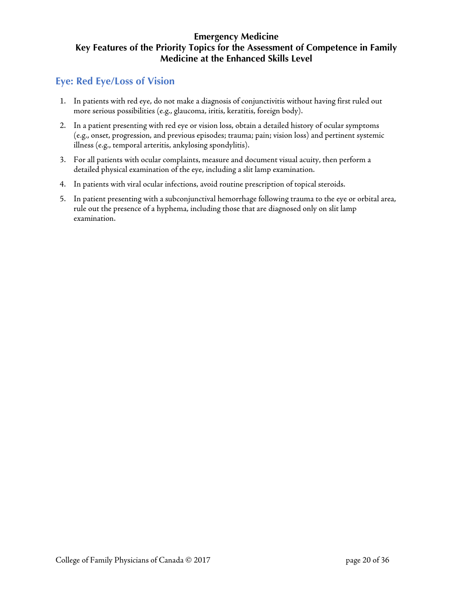## <span id="page-19-0"></span>**Eye: Red Eye/Loss of Vision**

- 1. In patients with red eye, do not make a diagnosis of conjunctivitis without having first ruled out more serious possibilities (e.g., glaucoma, iritis, keratitis, foreign body).
- 2. In a patient presenting with red eye or vision loss, obtain a detailed history of ocular symptoms (e.g., onset, progression, and previous episodes; trauma; pain; vision loss) and pertinent systemic illness (e.g., temporal arteritis, ankylosing spondylitis).
- 3. For all patients with ocular complaints, measure and document visual acuity, then perform a detailed physical examination of the eye, including a slit lamp examination.
- 4. In patients with viral ocular infections, avoid routine prescription of topical steroids.
- 5. In patient presenting with a subconjunctival hemorrhage following trauma to the eye or orbital area, rule out the presence of a hyphema, including those that are diagnosed only on slit lamp examination.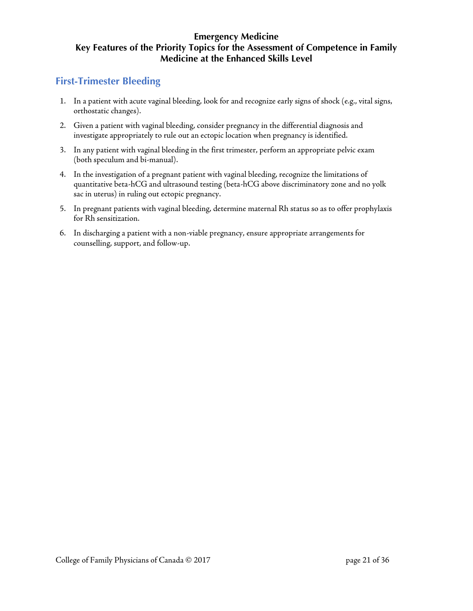# <span id="page-20-0"></span>**First-Trimester Bleeding**

- 1. In a patient with acute vaginal bleeding, look for and recognize early signs of shock (e.g., vital signs, orthostatic changes).
- 2. Given a patient with vaginal bleeding, consider pregnancy in the differential diagnosis and investigate appropriately to rule out an ectopic location when pregnancy is identified.
- 3. In any patient with vaginal bleeding in the first trimester, perform an appropriate pelvic exam (both speculum and bi-manual).
- 4. In the investigation of a pregnant patient with vaginal bleeding, recognize the limitations of quantitative beta-hCG and ultrasound testing (beta-hCG above discriminatory zone and no yolk sac in uterus) in ruling out ectopic pregnancy.
- 5. In pregnant patients with vaginal bleeding, determine maternal Rh status so as to offer prophylaxis for Rh sensitization.
- 6. In discharging a patient with a non-viable pregnancy, ensure appropriate arrangements for counselling, support, and follow-up.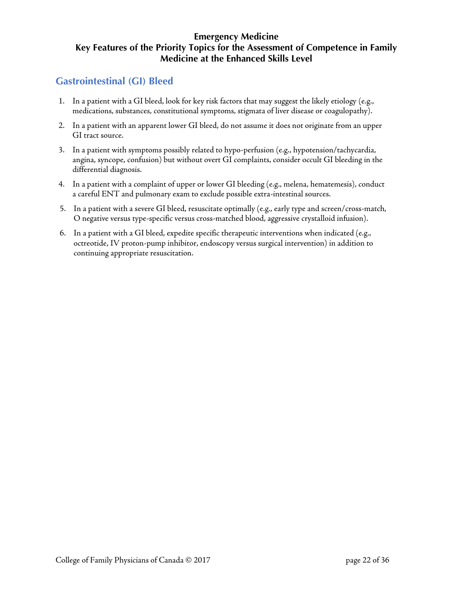# <span id="page-21-0"></span>**Gastrointestinal (GI) Bleed**

- 1. In a patient with a GI bleed, look for key risk factors that may suggest the likely etiology (e.g., medications, substances, constitutional symptoms, stigmata of liver disease or coagulopathy).
- 2. In a patient with an apparent lower GI bleed, do not assume it does not originate from an upper GI tract source.
- 3. In a patient with symptoms possibly related to hypo-perfusion (e.g., hypotension/tachycardia, angina, syncope, confusion) but without overt GI complaints, consider occult GI bleeding in the differential diagnosis.
- 4. In a patient with a complaint of upper or lower GI bleeding (e.g., melena, hematemesis), conduct a careful ENT and pulmonary exam to exclude possible extra-intestinal sources.
- 5. In a patient with a severe GI bleed, resuscitate optimally (e.g., early type and screen/cross-match, O negative versus type-specific versus cross-matched blood, aggressive crystalloid infusion).
- 6. In a patient with a GI bleed, expedite specific therapeutic interventions when indicated (e.g., octreotide, IV proton-pump inhibitor, endoscopy versus surgical intervention) in addition to continuing appropriate resuscitation.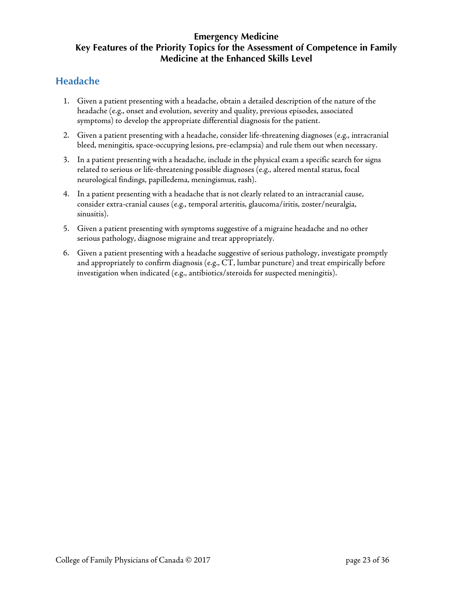# <span id="page-22-0"></span>**Headache**

- 1. Given a patient presenting with a headache, obtain a detailed description of the nature of the headache (e.g., onset and evolution, severity and quality, previous episodes, associated symptoms) to develop the appropriate differential diagnosis for the patient.
- 2. Given a patient presenting with a headache, consider life-threatening diagnoses (e.g., intracranial bleed, meningitis, space-occupying lesions, pre-eclampsia) and rule them out when necessary.
- 3. In a patient presenting with a headache, include in the physical exam a specific search for signs related to serious or life-threatening possible diagnoses (e.g., altered mental status, focal neurological findings, papilledema, meningismus, rash).
- 4. In a patient presenting with a headache that is not clearly related to an intracranial cause, consider extra-cranial causes (e.g., temporal arteritis, glaucoma/iritis, zoster/neuralgia, sinusitis).
- 5. Given a patient presenting with symptoms suggestive of a migraine headache and no other serious pathology, diagnose migraine and treat appropriately.
- 6. Given a patient presenting with a headache suggestive of serious pathology, investigate promptly and appropriately to confirm diagnosis (e.g., CT, lumbar puncture) and treat empirically before investigation when indicated (e.g., antibiotics/steroids for suspected meningitis).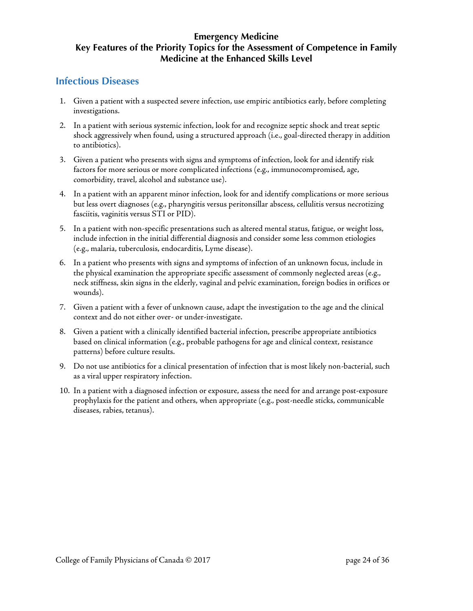### <span id="page-23-0"></span>**Infectious Diseases**

- 1. Given a patient with a suspected severe infection, use empiric antibiotics early, before completing investigations.
- 2. In a patient with serious systemic infection, look for and recognize septic shock and treat septic shock aggressively when found, using a structured approach (i.e., goal-directed therapy in addition to antibiotics).
- 3. Given a patient who presents with signs and symptoms of infection, look for and identify risk factors for more serious or more complicated infections (e.g., immunocompromised, age, comorbidity, travel, alcohol and substance use).
- 4. In a patient with an apparent minor infection, look for and identify complications or more serious but less overt diagnoses (e.g., pharyngitis versus peritonsillar abscess, cellulitis versus necrotizing fasciitis, vaginitis versus STI or PID).
- 5. In a patient with non-specific presentations such as altered mental status, fatigue, or weight loss, include infection in the initial differential diagnosis and consider some less common etiologies (e.g., malaria, tuberculosis, endocarditis, Lyme disease).
- 6. In a patient who presents with signs and symptoms of infection of an unknown focus, include in the physical examination the appropriate specific assessment of commonly neglected areas (e.g., neck stiffness, skin signs in the elderly, vaginal and pelvic examination, foreign bodies in orifices or wounds).
- 7. Given a patient with a fever of unknown cause, adapt the investigation to the age and the clinical context and do not either over- or under-investigate.
- 8. Given a patient with a clinically identified bacterial infection, prescribe appropriate antibiotics based on clinical information (e.g., probable pathogens for age and clinical context, resistance patterns) before culture results.
- 9. Do not use antibiotics for a clinical presentation of infection that is most likely non-bacterial, such as a viral upper respiratory infection.
- 10. In a patient with a diagnosed infection or exposure, assess the need for and arrange post-exposure prophylaxis for the patient and others, when appropriate (e.g., post-needle sticks, communicable diseases, rabies, tetanus).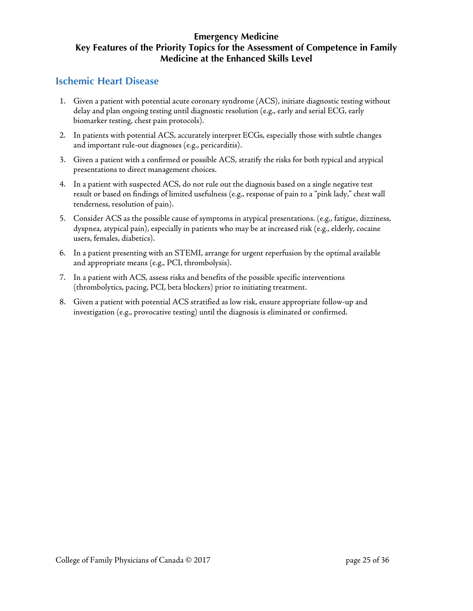### <span id="page-24-0"></span>**Ischemic Heart Disease**

- 1. Given a patient with potential acute coronary syndrome (ACS), initiate diagnostic testing without delay and plan ongoing testing until diagnostic resolution (e.g., early and serial ECG, early biomarker testing, chest pain protocols).
- 2. In patients with potential ACS, accurately interpret ECGs, especially those with subtle changes and important rule-out diagnoses (e.g., pericarditis).
- 3. Given a patient with a confirmed or possible ACS, stratify the risks for both typical and atypical presentations to direct management choices.
- 4. In a patient with suspected ACS, do not rule out the diagnosis based on a single negative test result or based on findings of limited usefulness (e.g., response of pain to a "pink lady," chest wall tenderness, resolution of pain).
- 5. Consider ACS as the possible cause of symptoms in atypical presentations. (e.g., fatigue, dizziness, dyspnea, atypical pain), especially in patients who may be at increased risk (e.g., elderly, cocaine users, females, diabetics).
- 6. In a patient presenting with an STEMI, arrange for urgent reperfusion by the optimal available and appropriate means (e.g., PCI, thrombolysis).
- 7. In a patient with ACS, assess risks and benefits of the possible specific interventions (thrombolytics, pacing, PCI, beta blockers) prior to initiating treatment.
- 8. Given a patient with potential ACS stratified as low risk, ensure appropriate follow-up and investigation (e.g., provocative testing) until the diagnosis is eliminated or confirmed.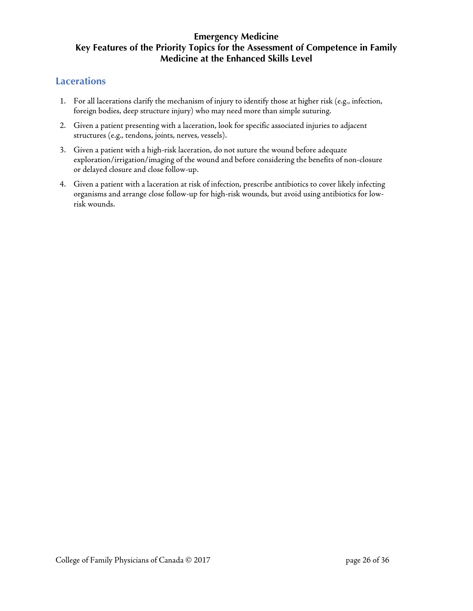### <span id="page-25-0"></span>**Lacerations**

- 1. For all lacerations clarify the mechanism of injury to identify those at higher risk (e.g., infection, foreign bodies, deep structure injury) who may need more than simple suturing.
- 2. Given a patient presenting with a laceration, look for specific associated injuries to adjacent structures (e.g., tendons, joints, nerves, vessels).
- 3. Given a patient with a high-risk laceration, do not suture the wound before adequate exploration/irrigation/imaging of the wound and before considering the benefits of non-closure or delayed closure and close follow-up.
- 4. Given a patient with a laceration at risk of infection, prescribe antibiotics to cover likely infecting organisms and arrange close follow-up for high-risk wounds, but avoid using antibiotics for lowrisk wounds.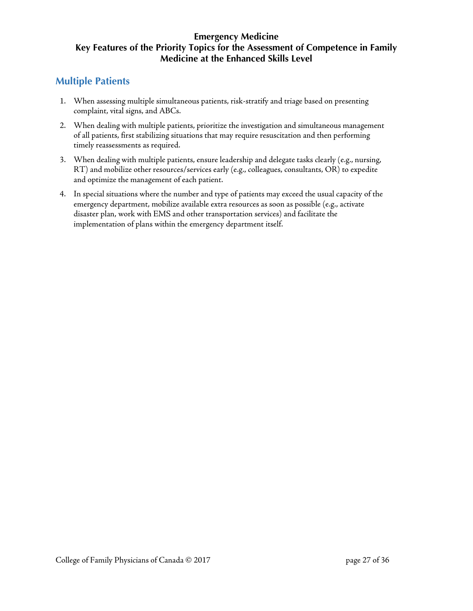## <span id="page-26-0"></span>**Multiple Patients**

- 1. When assessing multiple simultaneous patients, risk-stratify and triage based on presenting complaint, vital signs, and ABCs.
- 2. When dealing with multiple patients, prioritize the investigation and simultaneous management of all patients, first stabilizing situations that may require resuscitation and then performing timely reassessments as required.
- 3. When dealing with multiple patients, ensure leadership and delegate tasks clearly (e.g., nursing, RT) and mobilize other resources/services early (e.g., colleagues, consultants, OR) to expedite and optimize the management of each patient.
- 4. In special situations where the number and type of patients may exceed the usual capacity of the emergency department, mobilize available extra resources as soon as possible (e.g., activate disaster plan, work with EMS and other transportation services) and facilitate the implementation of plans within the emergency department itself.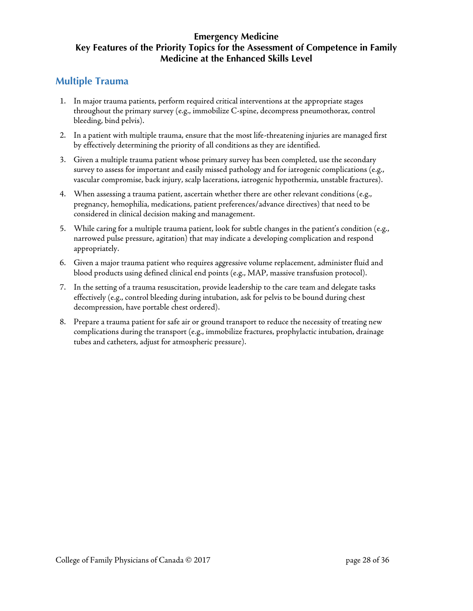### <span id="page-27-0"></span>**Multiple Trauma**

- 1. In major trauma patients, perform required critical interventions at the appropriate stages throughout the primary survey (e.g., immobilize C-spine, decompress pneumothorax, control bleeding, bind pelvis).
- 2. In a patient with multiple trauma, ensure that the most life-threatening injuries are managed first by effectively determining the priority of all conditions as they are identified.
- 3. Given a multiple trauma patient whose primary survey has been completed, use the secondary survey to assess for important and easily missed pathology and for iatrogenic complications (e.g., vascular compromise, back injury, scalp lacerations, iatrogenic hypothermia, unstable fractures).
- 4. When assessing a trauma patient, ascertain whether there are other relevant conditions (e.g., pregnancy, hemophilia, medications, patient preferences/advance directives) that need to be considered in clinical decision making and management.
- 5. While caring for a multiple trauma patient, look for subtle changes in the patient's condition (e.g., narrowed pulse pressure, agitation) that may indicate a developing complication and respond appropriately.
- 6. Given a major trauma patient who requires aggressive volume replacement, administer fluid and blood products using defined clinical end points (e.g., MAP, massive transfusion protocol).
- 7. In the setting of a trauma resuscitation, provide leadership to the care team and delegate tasks effectively (e.g., control bleeding during intubation, ask for pelvis to be bound during chest decompression, have portable chest ordered).
- 8. Prepare a trauma patient for safe air or ground transport to reduce the necessity of treating new complications during the transport (e.g., immobilize fractures, prophylactic intubation, drainage tubes and catheters, adjust for atmospheric pressure).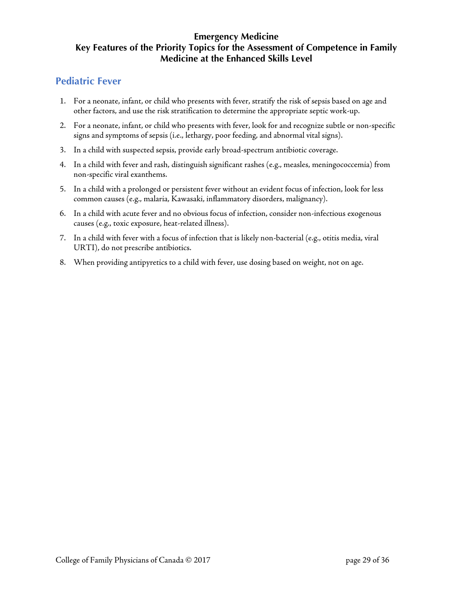### <span id="page-28-0"></span>**Pediatric Fever**

- 1. For a neonate, infant, or child who presents with fever, stratify the risk of sepsis based on age and other factors, and use the risk stratification to determine the appropriate septic work-up.
- 2. For a neonate, infant, or child who presents with fever, look for and recognize subtle or non-specific signs and symptoms of sepsis (i.e., lethargy, poor feeding, and abnormal vital signs).
- 3. In a child with suspected sepsis, provide early broad-spectrum antibiotic coverage.
- 4. In a child with fever and rash, distinguish significant rashes (e.g., measles, meningococcemia) from non-specific viral exanthems.
- 5. In a child with a prolonged or persistent fever without an evident focus of infection, look for less common causes (e.g., malaria, Kawasaki, inflammatory disorders, malignancy).
- 6. In a child with acute fever and no obvious focus of infection, consider non-infectious exogenous causes (e.g., toxic exposure, heat-related illness).
- 7. In a child with fever with a focus of infection that is likely non-bacterial (e.g., otitis media, viral URTI), do not prescribe antibiotics.
- 8. When providing antipyretics to a child with fever, use dosing based on weight, not on age.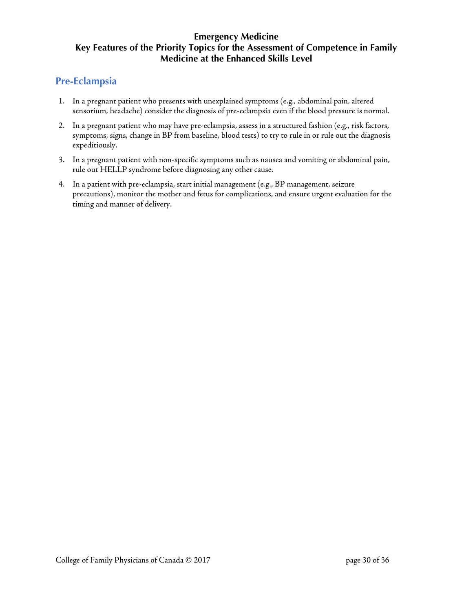## <span id="page-29-0"></span>**Pre-Eclampsia**

- 1. In a pregnant patient who presents with unexplained symptoms (e.g., abdominal pain, altered sensorium, headache) consider the diagnosis of pre-eclampsia even if the blood pressure is normal.
- 2. In a pregnant patient who may have pre-eclampsia, assess in a structured fashion (e.g., risk factors, symptoms, signs, change in BP from baseline, blood tests) to try to rule in or rule out the diagnosis expeditiously.
- 3. In a pregnant patient with non-specific symptoms such as nausea and vomiting or abdominal pain, rule out HELLP syndrome before diagnosing any other cause.
- 4. In a patient with pre-eclampsia, start initial management (e.g., BP management, seizure precautions), monitor the mother and fetus for complications, and ensure urgent evaluation for the timing and manner of delivery.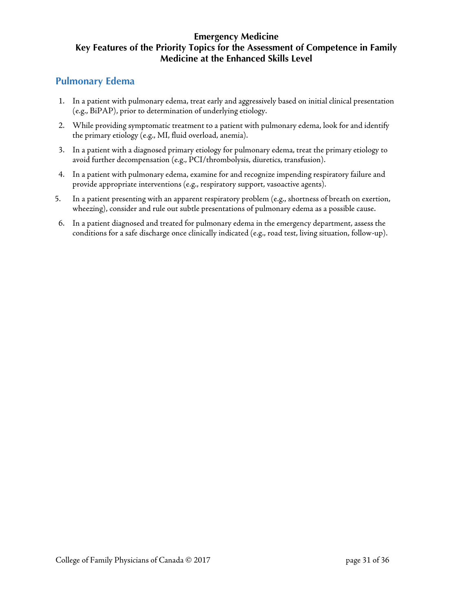### <span id="page-30-0"></span>**Pulmonary Edema**

- 1. In a patient with pulmonary edema, treat early and aggressively based on initial clinical presentation (e.g., BiPAP), prior to determination of underlying etiology.
- 2. While providing symptomatic treatment to a patient with pulmonary edema, look for and identify the primary etiology (e.g., MI, fluid overload, anemia).
- 3. In a patient with a diagnosed primary etiology for pulmonary edema, treat the primary etiology to avoid further decompensation (e.g., PCI/thrombolysis, diuretics, transfusion).
- 4. In a patient with pulmonary edema, examine for and recognize impending respiratory failure and provide appropriate interventions (e.g., respiratory support, vasoactive agents).
- 5. In a patient presenting with an apparent respiratory problem (e.g., shortness of breath on exertion, wheezing), consider and rule out subtle presentations of pulmonary edema as a possible cause.
- 6. In a patient diagnosed and treated for pulmonary edema in the emergency department, assess the conditions for a safe discharge once clinically indicated (e.g., road test, living situation, follow-up).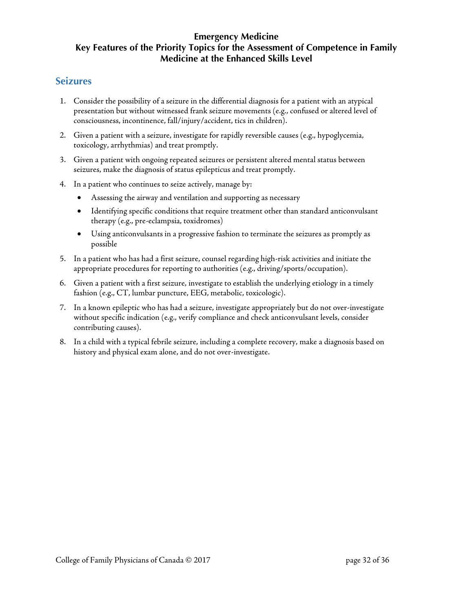### <span id="page-31-0"></span>**Seizures**

- 1. Consider the possibility of a seizure in the differential diagnosis for a patient with an atypical presentation but without witnessed frank seizure movements (e.g., confused or altered level of consciousness, incontinence, fall/injury/accident, tics in children).
- 2. Given a patient with a seizure, investigate for rapidly reversible causes (e.g., hypoglycemia, toxicology, arrhythmias) and treat promptly.
- 3. Given a patient with ongoing repeated seizures or persistent altered mental status between seizures, make the diagnosis of status epilepticus and treat promptly.
- 4. In a patient who continues to seize actively, manage by:
	- Assessing the airway and ventilation and supporting as necessary
	- Identifying specific conditions that require treatment other than standard anticonvulsant therapy (e.g., pre-eclampsia, toxidromes)
	- Using anticonvulsants in a progressive fashion to terminate the seizures as promptly as possible
- 5. In a patient who has had a first seizure, counsel regarding high-risk activities and initiate the appropriate procedures for reporting to authorities (e.g., driving/sports/occupation).
- 6. Given a patient with a first seizure, investigate to establish the underlying etiology in a timely fashion (e.g., CT, lumbar puncture, EEG, metabolic, toxicologic).
- 7. In a known epileptic who has had a seizure, investigate appropriately but do not over-investigate without specific indication (e.g., verify compliance and check anticonvulsant levels, consider contributing causes).
- 8. In a child with a typical febrile seizure, including a complete recovery, make a diagnosis based on history and physical exam alone, and do not over-investigate.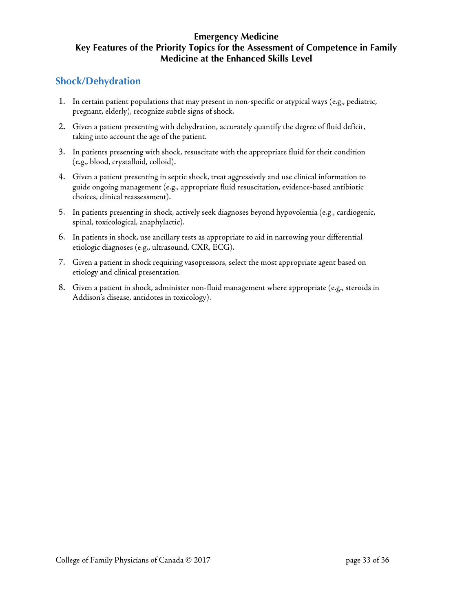# <span id="page-32-0"></span>**Shock/Dehydration**

- 1. In certain patient populations that may present in non-specific or atypical ways (e.g., pediatric, pregnant, elderly), recognize subtle signs of shock.
- 2. Given a patient presenting with dehydration, accurately quantify the degree of fluid deficit, taking into account the age of the patient.
- 3. In patients presenting with shock, resuscitate with the appropriate fluid for their condition (e.g., blood, crystalloid, colloid).
- 4. Given a patient presenting in septic shock, treat aggressively and use clinical information to guide ongoing management (e.g., appropriate fluid resuscitation, evidence-based antibiotic choices, clinical reassessment).
- 5. In patients presenting in shock, actively seek diagnoses beyond hypovolemia (e.g., cardiogenic, spinal, toxicological, anaphylactic).
- 6. In patients in shock, use ancillary tests as appropriate to aid in narrowing your differential etiologic diagnoses (e.g., ultrasound, CXR, ECG).
- 7. Given a patient in shock requiring vasopressors, select the most appropriate agent based on etiology and clinical presentation.
- 8. Given a patient in shock, administer non-fluid management where appropriate (e.g., steroids in Addison's disease, antidotes in toxicology).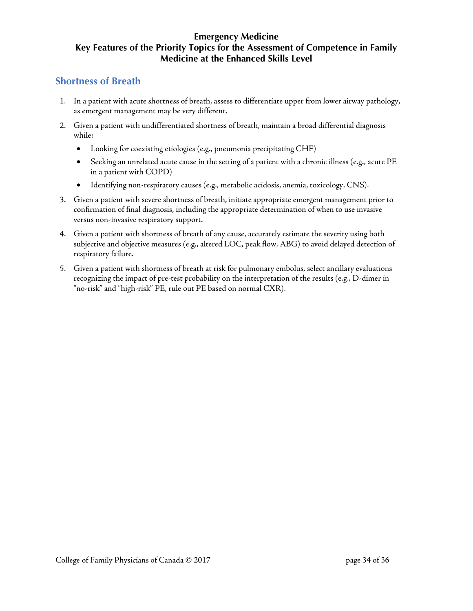### <span id="page-33-0"></span>**Shortness of Breath**

- 1. In a patient with acute shortness of breath, assess to differentiate upper from lower airway pathology, as emergent management may be very different.
- 2. Given a patient with undifferentiated shortness of breath, maintain a broad differential diagnosis while:
	- Looking for coexisting etiologies (e.g., pneumonia precipitating CHF)
	- Seeking an unrelated acute cause in the setting of a patient with a chronic illness (e.g., acute PE in a patient with COPD)
	- Identifying non-respiratory causes (e.g., metabolic acidosis, anemia, toxicology, CNS).
- 3. Given a patient with severe shortness of breath, initiate appropriate emergent management prior to confirmation of final diagnosis, including the appropriate determination of when to use invasive versus non-invasive respiratory support.
- 4. Given a patient with shortness of breath of any cause, accurately estimate the severity using both subjective and objective measures (e.g., altered LOC, peak flow, ABG) to avoid delayed detection of respiratory failure.
- 5. Given a patient with shortness of breath at risk for pulmonary embolus, select ancillary evaluations recognizing the impact of pre-test probability on the interpretation of the results (e.g., D-dimer in "no-risk" and "high-risk" PE, rule out PE based on normal CXR).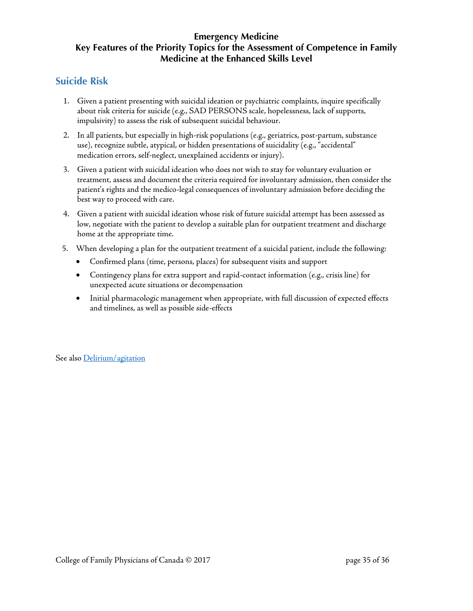## <span id="page-34-0"></span>**Suicide Risk**

- 1. Given a patient presenting with suicidal ideation or psychiatric complaints, inquire specifically about risk criteria for suicide (e.g., SAD PERSONS scale, hopelessness, lack of supports, impulsivity) to assess the risk of subsequent suicidal behaviour.
- 2. In all patients, but especially in high-risk populations (e.g., geriatrics, post-partum, substance use), recognize subtle, atypical, or hidden presentations of suicidality (e.g., "accidental" medication errors, self-neglect, unexplained accidents or injury).
- 3. Given a patient with suicidal ideation who does not wish to stay for voluntary evaluation or treatment, assess and document the criteria required for involuntary admission, then consider the patient's rights and the medico-legal consequences of involuntary admission before deciding the best way to proceed with care.
- 4. Given a patient with suicidal ideation whose risk of future suicidal attempt has been assessed as low, negotiate with the patient to develop a suitable plan for outpatient treatment and discharge home at the appropriate time.
- 5. When developing a plan for the outpatient treatment of a suicidal patient, include the following:
	- Confirmed plans (time, persons, places) for subsequent visits and support
	- Contingency plans for extra support and rapid-contact information (e.g., crisis line) for unexpected acute situations or decompensation
	- Initial pharmacologic management when appropriate, with full discussion of expected effects and timelines, as well as possible side-effects

See also [Delirium/agitation](#page-16-0)